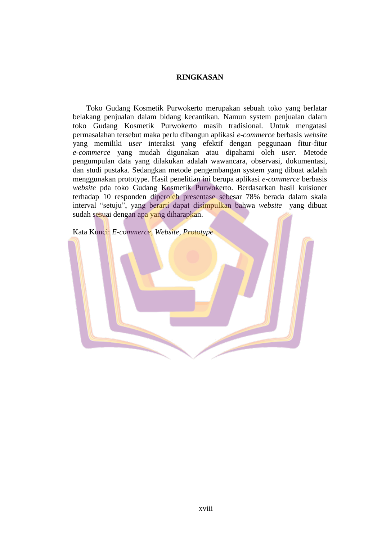## **RINGKASAN**

 Toko Gudang Kosmetik Purwokerto merupakan sebuah toko yang berlatar belakang penjualan dalam bidang kecantikan. Namun system penjualan dalam toko Gudang Kosmetik Purwokerto masih tradisional. Untuk mengatasi permasalahan tersebut maka perlu dibangun aplikasi *e-commerce* berbasis *website* yang memiliki *user* interaksi yang efektif dengan peggunaan fitur-fitur *e-commerce* yang mudah digunakan atau dipahami oleh *user*. Metode pengumpulan data yang dilakukan adalah wawancara, observasi, dokumentasi, dan studi pustaka. Sedangkan metode pengembangan system yang dibuat adalah menggunakan prototype. Hasil penelitian ini berupa aplikasi *e-commerce* berbasis *website* pda toko Gudang Kosmetik Purwokerto. Berdasarkan hasil kuisioner terhadap 10 responden diperoleh presentase sebesar 78% berada dalam skala interval "setuju", yang berarti dapat disimpulkan bahwa *website* yang dibuat sudah sesuai dengan apa yang diharapkan.